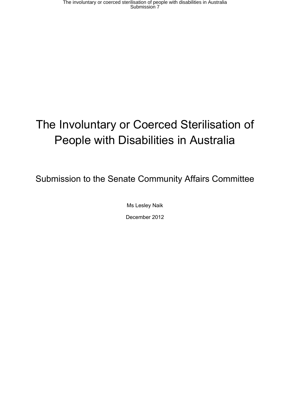# The Involuntary or Coerced Sterilisation of People with Disabilities in Australia

Submission to the Senate Community Affairs Committee

Ms Lesley Naik December 2012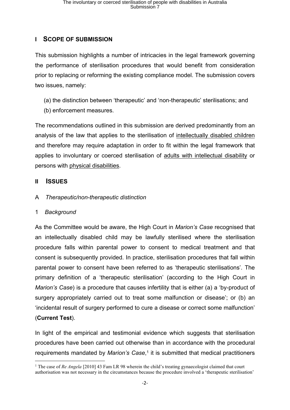### **I SCOPE OF SUBMISSION**

This submission highlights a number of intricacies in the legal framework governing the performance of sterilisation procedures that would benefit from consideration prior to replacing or reforming the existing compliance model. The submission covers two issues, namely:

- (a) the distinction between 'therapeutic' and 'non-therapeutic' sterilisations; and
- (b) enforcement measures.

The recommendations outlined in this submission are derived predominantly from an analysis of the law that applies to the sterilisation of intellectually disabled children and therefore may require adaptation in order to fit within the legal framework that applies to involuntary or coerced sterilisation of adults with intellectual disability or persons with physical disabilities.

#### **II ISSUES**

A *Therapeutic/non-therapeutic distinction*

#### 1 *Background*

As the Committee would be aware, the High Court in *Marion's Case* recognised that an intellectually disabled child may be lawfully sterilised where the sterilisation procedure falls within parental power to consent to medical treatment and that consent is subsequently provided. In practice, sterilisation procedures that fall within parental power to consent have been referred to as 'therapeutic sterilisations'. The primary definition of a 'therapeutic sterilisation' (according to the High Court in *Marion's Case*) is a procedure that causes infertility that is either (a) a 'by-product of surgery appropriately carried out to treat some malfunction or disease'; or (b) an 'incidental result of surgery performed to cure a disease or correct some malfunction' (**Current Test**).

In light of the empirical and testimonial evidence which suggests that sterilisation procedures have been carried out otherwise than in accordance with the procedural requirements mandated by *Marion's Case*, 1 it is submitted that medical practitioners

<sup>&</sup>lt;sup>1</sup> The case of *Re Angela* [2010] 43 Fam LR 98 wherein the child's treating gynaecologist claimed that court authorisation was not necessary in the circumstances because the procedure involved a 'therapeutic sterilisation'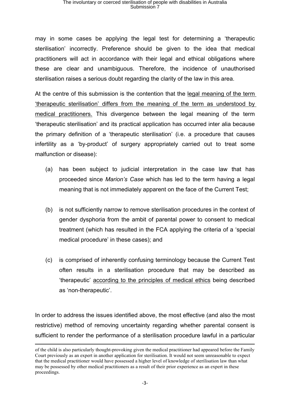may in some cases be applying the legal test for determining a 'therapeutic sterilisation' incorrectly. Preference should be given to the idea that medical practitioners will act in accordance with their legal and ethical obligations where these are clear and unambiguous. Therefore, the incidence of unauthorised sterilisation raises a serious doubt regarding the clarity of the law in this area.

At the centre of this submission is the contention that the legal meaning of the term 'therapeutic sterilisation' differs from the meaning of the term as understood by medical practitioners. This divergence between the legal meaning of the term 'therapeutic sterilisation' and its practical application has occurred inter alia because the primary definition of a 'therapeutic sterilisation' (i.e. a procedure that causes infertility as a 'by-product' of surgery appropriately carried out to treat some malfunction or disease):

- (a) has been subject to judicial interpretation in the case law that has proceeded since *Marion's Case* which has led to the term having a legal meaning that is not immediately apparent on the face of the Current Test;
- (b) is not sufficiently narrow to remove sterilisation procedures in the context of gender dysphoria from the ambit of parental power to consent to medical treatment (which has resulted in the FCA applying the criteria of a 'special medical procedure' in these cases); and
- (c) is comprised of inherently confusing terminology because the Current Test often results in a sterilisation procedure that may be described as 'therapeutic' according to the principles of medical ethics being described as 'non-therapeutic'.

In order to address the issues identified above, the most effective (and also the most restrictive) method of removing uncertainty regarding whether parental consent is sufficient to render the performance of a sterilisation procedure lawful in a particular

of the child is also particularly thought-provoking given the medical practitioner had appeared before the Family Court previously as an expert in another application for sterilisation. It would not seem unreasonable to expect that the medical practitioner would have possessed a higher level of knowledge of sterilisation law than what may be possessed by other medical practitioners as a result of their prior experience as an expert in these proceedings.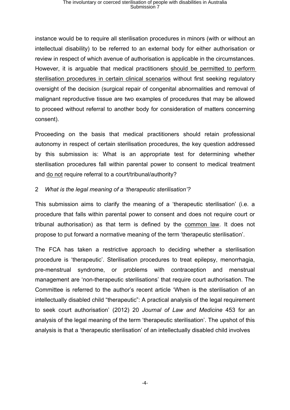instance would be to require all sterilisation procedures in minors (with or without an intellectual disability) to be referred to an external body for either authorisation or review in respect of which avenue of authorisation is applicable in the circumstances. However, it is arguable that medical practitioners should be permitted to perform sterilisation procedures in certain clinical scenarios without first seeking regulatory oversight of the decision (surgical repair of congenital abnormalities and removal of malignant reproductive tissue are two examples of procedures that may be allowed to proceed without referral to another body for consideration of matters concerning consent).

Proceeding on the basis that medical practitioners should retain professional autonomy in respect of certain sterilisation procedures, the key question addressed by this submission is: What is an appropriate test for determining whether sterilisation procedures fall within parental power to consent to medical treatment and do not require referral to a court/tribunal/authority?

#### 2 *What is the legal meaning of a 'therapeutic sterilisation'?*

This submission aims to clarify the meaning of a 'therapeutic sterilisation' (i.e. a procedure that falls within parental power to consent and does not require court or tribunal authorisation) as that term is defined by the common law. It does not propose to put forward a normative meaning of the term 'therapeutic sterilisation'.

The FCA has taken a restrictive approach to deciding whether a sterilisation procedure is 'therapeutic'. Sterilisation procedures to treat epilepsy, menorrhagia, pre-menstrual syndrome, or problems with contraception and menstrual management are 'non-therapeutic sterilisations' that require court authorisation. The Committee is referred to the author's recent article 'When is the sterilisation of an intellectually disabled child "therapeutic": A practical analysis of the legal requirement to seek court authorisation' (2012) 20 *Journal of Law and Medicine* 453 for an analysis of the legal meaning of the term 'therapeutic sterilisation'. The upshot of this analysis is that a 'therapeutic sterilisation' of an intellectually disabled child involves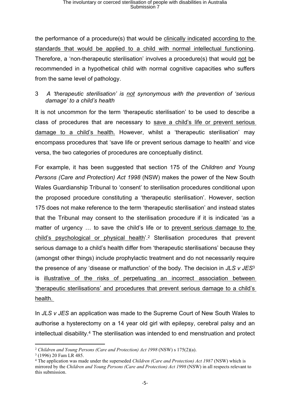the performance of a procedure(s) that would be clinically indicated according to the standards that would be applied to a child with normal intellectual functioning. Therefore, a 'non-therapeutic sterilisation' involves a procedure(s) that would not be recommended in a hypothetical child with normal cognitive capacities who suffers from the same level of pathology.

#### 3 *A 'therapeutic sterilisation' is not synonymous with the prevention of 'serious damage' to a child's health*

It is not uncommon for the term 'therapeutic sterilisation' to be used to describe a class of procedures that are necessary to save a child's life or prevent serious damage to a child's health. However, whilst a 'therapeutic sterilisation' may encompass procedures that 'save life or prevent serious damage to health' and vice versa, the two categories of procedures are conceptually distinct.

For example, it has been suggested that section 175 of the *Children and Young Persons (Care and Protection) Act 1998* (NSW) makes the power of the New South Wales Guardianship Tribunal to 'consent' to sterilisation procedures conditional upon the proposed procedure constituting a 'therapeutic sterilisation'. However, section 175 does not make reference to the term 'therapeutic sterilisation' and instead states that the Tribunal may consent to the sterilisation procedure if it is indicated 'as a matter of urgency … to save the child's life or to prevent serious damage to the child's psychological or physical health'.<sup>2</sup> Sterilisation procedures that prevent serious damage to a child's health differ from 'therapeutic sterilisations' because they (amongst other things) include prophylactic treatment and do not necessarily require the presence of any 'disease or malfunction' of the body. The decision in *JLS v JES*<sup>3</sup> is illustrative of the risks of perpetuating an incorrect association between 'therapeutic sterilisations' and procedures that prevent serious damage to a child's health.

In *JLS v JES* an application was made to the Supreme Court of New South Wales to authorise a hysterectomy on a 14 year old girl with epilepsy, cerebral palsy and an intellectual disability.<sup>4</sup> The sterilisation was intended to end menstruation and protect

<sup>2</sup> *Children and Young Persons (Care and Protection) Act 1998* (NSW) s 175(2)(a).

<sup>3</sup> (1996) 20 Fam LR 485.

<sup>4</sup> The application was made under the superseded *Children (Care and Protection) Act 1987* (NSW) which is mirrored by the *Children and Young Persons (Care and Protection) Act 1998* (NSW) in all respects relevant to this submission.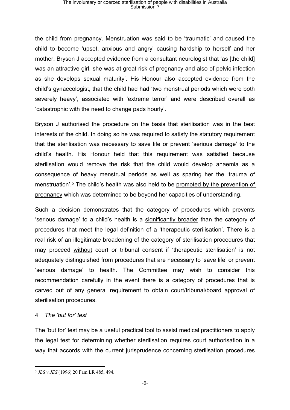the child from pregnancy. Menstruation was said to be 'traumatic' and caused the child to become 'upset, anxious and angry' causing hardship to herself and her mother. Bryson J accepted evidence from a consultant neurologist that 'as [the child] was an attractive girl, she was at great risk of pregnancy and also of pelvic infection as she develops sexual maturity'. His Honour also accepted evidence from the child's gynaecologist, that the child had had 'two menstrual periods which were both severely heavy', associated with 'extreme terror' and were described overall as 'catastrophic with the need to change pads hourly'.

Bryson J authorised the procedure on the basis that sterilisation was in the best interests of the child. In doing so he was required to satisfy the statutory requirement that the sterilisation was necessary to save life or prevent 'serious damage' to the child's health. His Honour held that this requirement was satisfied because sterilisation would remove the risk that the child would develop anaemia as a consequence of heavy menstrual periods as well as sparing her the 'trauma of menstruation'.<sup>5</sup> The child's health was also held to be promoted by the prevention of pregnancy which was determined to be beyond her capacities of understanding.

Such a decision demonstrates that the category of procedures which prevents 'serious damage' to a child's health is a significantly broader than the category of procedures that meet the legal definition of a 'therapeutic sterilisation'. There is a real risk of an illegitimate broadening of the category of sterilisation procedures that may proceed without court or tribunal consent if 'therapeutic sterilisation' is not adequately distinguished from procedures that are necessary to 'save life' or prevent 'serious damage' to health. The Committee may wish to consider this recommendation carefully in the event there is a category of procedures that is carved out of any general requirement to obtain court/tribunal/board approval of sterilisation procedures.

#### 4 *The 'but for' test*

The 'but for' test may be a useful practical tool to assist medical practitioners to apply the legal test for determining whether sterilisation requires court authorisation in a way that accords with the current jurisprudence concerning sterilisation procedures

<sup>5</sup> *JLS v JES* (1996) 20 Fam LR 485, 494.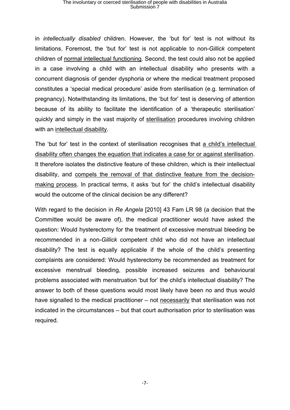in *intellectually disabled* children. However, the 'but for' test is not without its limitations. Foremost, the 'but for' test is not applicable to non-*Gillick* competent children of normal intellectual functioning. Second, the test could also not be applied in a case involving a child with an intellectual disability who presents with a concurrent diagnosis of gender dysphoria or where the medical treatment proposed constitutes a 'special medical procedure' aside from sterilisation (e.g. termination of pregnancy). Notwithstanding its limitations, the 'but for' test is deserving of attention because of its ability to facilitate the identification of a 'therapeutic sterilisation' quickly and simply in the vast majority of sterilisation procedures involving children with an intellectual disability.

The 'but for' test in the context of sterilisation recognises that a child's intellectual disability often changes the equation that indicates a case for or against sterilisation. It therefore isolates the distinctive feature of these children, which is their intellectual disability, and compels the removal of that distinctive feature from the decisionmaking process. In practical terms, it asks 'but for' the child's intellectual disability would the outcome of the clinical decision be any different?

With regard to the decision in *Re Angela* [2010] 43 Fam LR 98 (a decision that the Committee would be aware of), the medical practitioner would have asked the question: Would hysterectomy for the treatment of excessive menstrual bleeding be recommended in a non-*Gillick* competent child who did not have an intellectual disability? The test is equally applicable if the whole of the child's presenting complaints are considered: Would hysterectomy be recommended as treatment for excessive menstrual bleeding, possible increased seizures and behavioural problems associated with menstruation 'but for' the child's intellectual disability? The answer to both of these questions would most likely have been no and thus would have signalled to the medical practitioner – not necessarily that sterilisation was not indicated in the circumstances – but that court authorisation prior to sterilisation was required.

-7-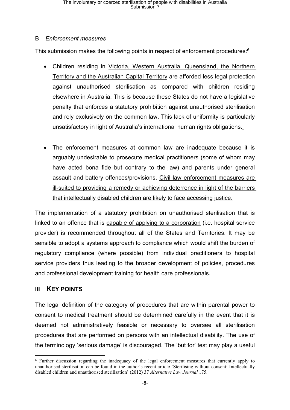### B*Enforcement measures*

This submission makes the following points in respect of enforcement procedures:<sup>6</sup>

- Children residing in Victoria, Western Australia, Queensland, the Northern Territory and the Australian Capital Territory are afforded less legal protection against unauthorised sterilisation as compared with children residing elsewhere in Australia. This is because these States do not have a legislative penalty that enforces a statutory prohibition against unauthorised sterilisation and rely exclusively on the common law. This lack of uniformity is particularly unsatisfactory in light of Australia's international human rights obligations.
- The enforcement measures at common law are inadequate because it is arguably undesirable to prosecute medical practitioners (some of whom may have acted bona fide but contrary to the law) and parents under general assault and battery offences/provisions. Civil law enforcement measures are ill-suited to providing a remedy or achieving deterrence in light of the barriers that intellectually disabled children are likely to face accessing justice.

The implementation of a statutory prohibition on unauthorised sterilisation that is linked to an offence that is capable of applying to a corporation (i.e. hospital service provider) is recommended throughout all of the States and Territories. It may be sensible to adopt a systems approach to compliance which would shift the burden of regulatory compliance (where possible) from individual practitioners to hospital service providers thus leading to the broader development of policies, procedures and professional development training for health care professionals.

### **III KEY POINTS**

The legal definition of the category of procedures that are within parental power to consent to medical treatment should be determined carefully in the event that it is deemed not administratively feasible or necessary to oversee all sterilisation procedures that are performed on persons with an intellectual disability. The use of the terminology 'serious damage' is discouraged. The 'but for' test may play a useful

<sup>6</sup> Further discussion regarding the inadequacy of the legal enforcement measures that currently apply to unauthorised sterilisation can be found in the author's recent article 'Sterilising without consent: Intellectually disabled children and unauthorised sterilisation' (2012) 37 *Alternative Law Journal* 175.